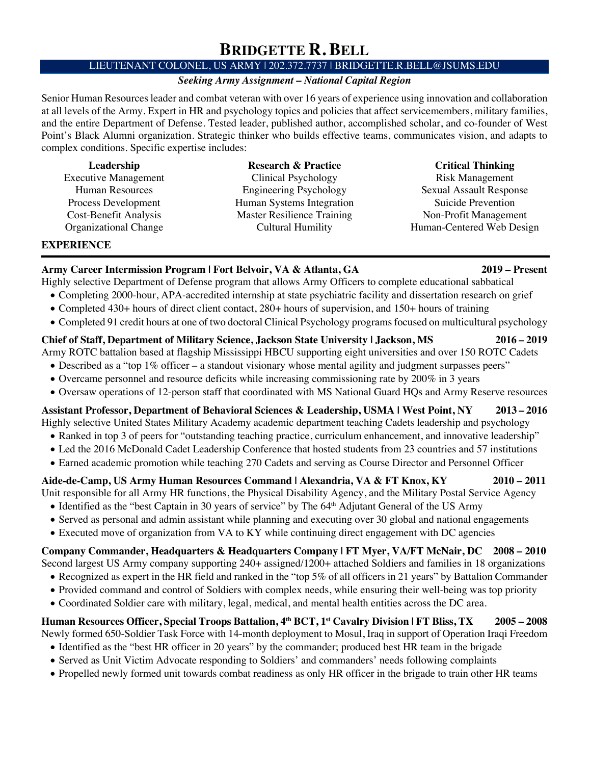# **BRIDGETTE R. BELL**

## LIEUTENANT COLONEL, US ARMY | 202.372.7737 | BRIDGETTE.R.BELL@JSUMS.EDU

## *Seeking Army Assignment – National Capital Region*

Senior Human Resources leader and combat veteran with over 16 years of experience using innovation and collaboration at all levels of the Army. Expert in HR and psychology topics and policies that affect servicemembers, military families, and the entire Department of Defense. Tested leader, published author, accomplished scholar, and co-founder of West Point's Black Alumni organization. Strategic thinker who builds effective teams, communicates vision, and adapts to complex conditions. Specific expertise includes:

| Leadership                  |
|-----------------------------|
| <b>Executive Management</b> |
| <b>Human Resources</b>      |
| Process Development         |
| Cost-Benefit Analysis       |
| Organizational Change       |

**Research & Practice** Clinical Psychology Engineering Psychology Human Systems Integration Master Resilience Training Cultural Humility

## **Critical Thinking**

Risk Management Sexual Assault Response Suicide Prevention Non-Profit Management Human-Centered Web Design

## **EXPERIENCE**

**Army Career Intermission Program | Fort Belvoir, VA & Atlanta, GA 2019 – Present** 

- Highly selective Department of Defense program that allows Army Officers to complete educational sabbatical
	- Completing 2000-hour, APA-accredited internship at state psychiatric facility and dissertation research on grief
	- Completed 430+ hours of direct client contact, 280+ hours of supervision, and 150+ hours of training
	- Completed 91 credit hours at one of two doctoral Clinical Psychology programs focused on multicultural psychology

## **Chief of Staff, Department of Military Science, Jackson State University | Jackson, MS 2016 – 2019**

Army ROTC battalion based at flagship Mississippi HBCU supporting eight universities and over 150 ROTC Cadets

- Described as a "top 1% officer a standout visionary whose mental agility and judgment surpasses peers"
- Overcame personnel and resource deficits while increasing commissioning rate by 200% in 3 years
- Oversaw operations of 12-person staff that coordinated with MS National Guard HQs and Army Reserve resources

# **Assistant Professor, Department of Behavioral Sciences & Leadership, USMA | West Point, NY 2013 – 2016**

Highly selective United States Military Academy academic department teaching Cadets leadership and psychology

- Ranked in top 3 of peers for "outstanding teaching practice, curriculum enhancement, and innovative leadership"
- Led the 2016 McDonald Cadet Leadership Conference that hosted students from 23 countries and 57 institutions
- Earned academic promotion while teaching 270 Cadets and serving as Course Director and Personnel Officer

# **Aide-de-Camp, US Army Human Resources Command | Alexandria, VA & FT Knox, KY 2010 – 2011**

Unit responsible for all Army HR functions, the Physical Disability Agency, and the Military Postal Service Agency

- Identified as the "best Captain in 30 years of service" by The 64<sup>th</sup> Adjutant General of the US Army
- Served as personal and admin assistant while planning and executing over 30 global and national engagements
- Executed move of organization from VA to KY while continuing direct engagement with DC agencies

**Company Commander, Headquarters & Headquarters Company | FT Myer, VA/FT McNair, DC 2008 – 2010**

- Second largest US Army company supporting 240+ assigned/1200+ attached Soldiers and families in 18 organizations
	- Recognized as expert in the HR field and ranked in the "top 5% of all officers in 21 years" by Battalion Commander
	- Provided command and control of Soldiers with complex needs, while ensuring their well-being was top priority
	- Coordinated Soldier care with military, legal, medical, and mental health entities across the DC area.

# **Human Resources Officer, Special Troops Battalion, 4th BCT, 1st Cavalry Division | FT Bliss, TX 2005 – 2008**

Newly formed 650-Soldier Task Force with 14-month deployment to Mosul, Iraq in support of Operation Iraqi Freedom

- Identified as the "best HR officer in 20 years" by the commander; produced best HR team in the brigade
- Served as Unit Victim Advocate responding to Soldiers' and commanders' needs following complaints
- Propelled newly formed unit towards combat readiness as only HR officer in the brigade to train other HR teams